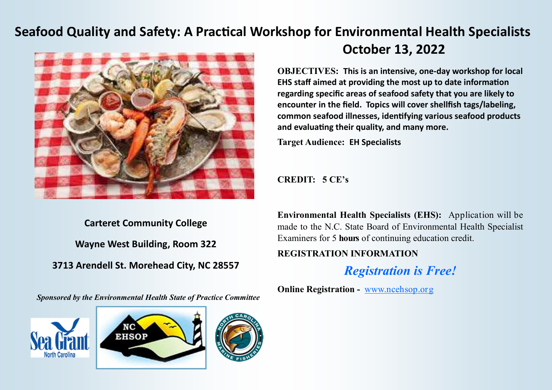## **Seafood Quality and Safety: A Practical Workshop for Environmental Health Specialists**



**Carteret Community College Wayne West Building, Room 322 3713 Arendell St. Morehead City, NC 28557** 

*Sponsored by the Environmental Health State of Practice Committee* 







**October 13, 2022** 

**OBJECTIVES: This is an intensive, one-day workshop for local** EHS staff aimed at providing the most up to date information **regarding specific areas of seafood safety that you are likely to encounter in the field. Topics will cover shellfish tags/labeling, common seafood illnesses, idenfying various seafood products** and evaluating their quality, and many more.

**Target Audience: EH Specialists**

**CREDIT: 5 CE's** 

**Environmental Health Specialists (EHS):** Application will be made to the N.C. State Board of Environmental Health Specialist Examiners for 5 **hours** of continuing education credit.

## **REGISTRATION INFORMATION**

*Registration is Free!* 

**Online Registration - www.ncehsop.org**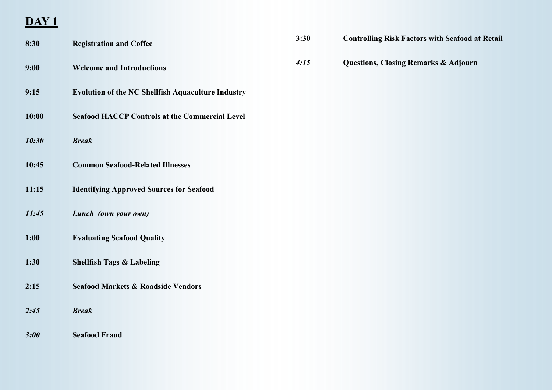## **DAY 1**

| 8:30  | <b>Registration and Coffee</b>                            | 3:30 | <b>Controlling Risk Factors with Seafood at Retail</b> |
|-------|-----------------------------------------------------------|------|--------------------------------------------------------|
| 9:00  | <b>Welcome and Introductions</b>                          | 4:15 | <b>Questions, Closing Remarks &amp; Adjourn</b>        |
| 9:15  | <b>Evolution of the NC Shellfish Aquaculture Industry</b> |      |                                                        |
| 10:00 | <b>Seafood HACCP Controls at the Commercial Level</b>     |      |                                                        |
| 10:30 | <b>Break</b>                                              |      |                                                        |
| 10:45 | <b>Common Seafood-Related Illnesses</b>                   |      |                                                        |
| 11:15 | <b>Identifying Approved Sources for Seafood</b>           |      |                                                        |
| 11:45 | Lunch (own your own)                                      |      |                                                        |
| 1:00  | <b>Evaluating Seafood Quality</b>                         |      |                                                        |
| 1:30  | <b>Shellfish Tags &amp; Labeling</b>                      |      |                                                        |
| 2:15  | <b>Seafood Markets &amp; Roadside Vendors</b>             |      |                                                        |
| 2:45  | <b>Break</b>                                              |      |                                                        |
| 3:00  | <b>Seafood Fraud</b>                                      |      |                                                        |